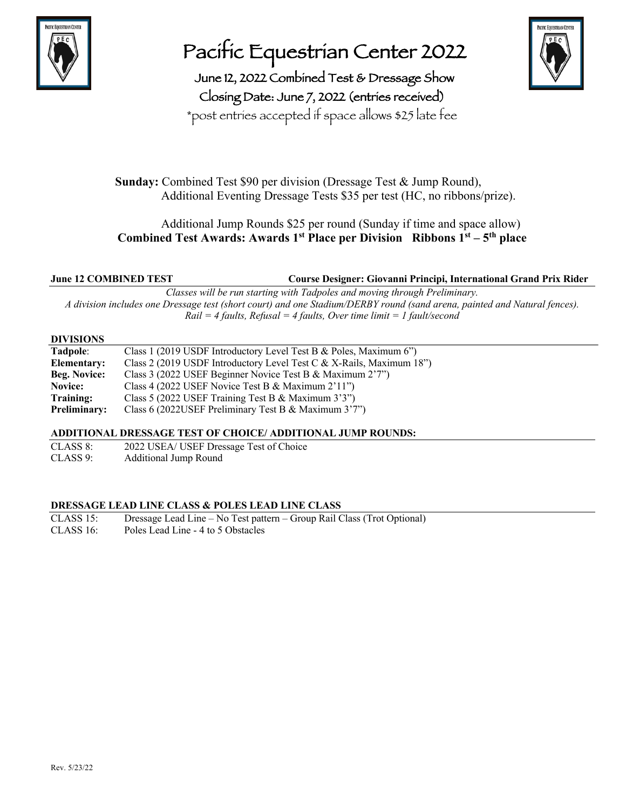

## Pacific Equestrian Center 2022

June 12, 2022 Combined Test & Dressage Show Closing Date: June 7, 2022 (entries received) \*post entries accepted if space allows \$25 late fee



 **Sunday:** Combined Test \$90 per division (Dressage Test & Jump Round), Additional Eventing Dressage Tests \$35 per test (HC, no ribbons/prize).

#### Additional Jump Rounds \$25 per round (Sunday if time and space allow) **Combined Test Awards: Awards**  $1^{st}$  **<b>Place per Division Ribbons**  $1^{st} - 5^{th}$  **place**

**June 12 COMBINED TEST Course Designer: Giovanni Principi, International Grand Prix Rider**

*Classes will be run starting with Tadpoles and moving through Preliminary. A division includes one Dressage test (short court) and one Stadium/DERBY round (sand arena, painted and Natural fences). Rail = 4 faults, Refusal = 4 faults, Over time limit = 1 fault/second*

#### **DIVISIONS**

#### **ADDITIONAL DRESSAGE TEST OF CHOICE/ ADDITIONAL JUMP ROUNDS:**

CLASS 8: 2022 USEA/ USEF Dressage Test of Choice CLASS 9: Additional Jump Round

#### **DRESSAGE LEAD LINE CLASS & POLES LEAD LINE CLASS**

CLASS 15: Dressage Lead Line – No Test pattern – Group Rail Class (Trot Optional) CLASS 16: Poles Lead Line - 4 to 5 Obstacles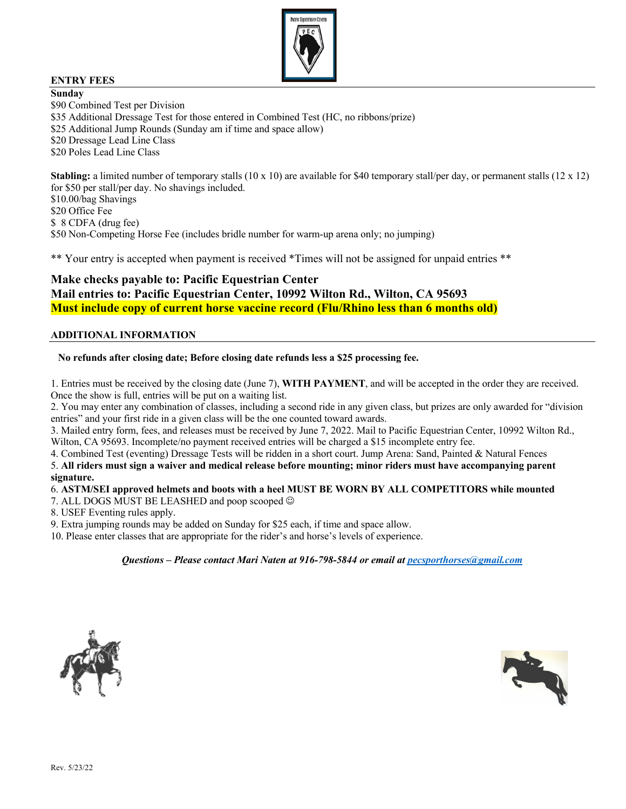

#### **ENTRY FEES**

**Sunday** \$90 Combined Test per Division \$35 Additional Dressage Test for those entered in Combined Test (HC, no ribbons/prize) \$25 Additional Jump Rounds (Sunday am if time and space allow) \$20 Dressage Lead Line Class \$20 Poles Lead Line Class **Stabling:** a limited number of temporary stalls (10 x 10) are available for \$40 temporary stall/per day, or permanent stalls (12 x 12)

for \$50 per stall/per day. No shavings included. \$10.00/bag Shavings

\$20 Office Fee \$ 8 CDFA (drug fee) \$50 Non-Competing Horse Fee (includes bridle number for warm-up arena only; no jumping)

\*\* Your entry is accepted when payment is received \*Times will not be assigned for unpaid entries \*\*

#### **Make checks payable to: Pacific Equestrian Center Mail entries to: Pacific Equestrian Center, 10992 Wilton Rd., Wilton, CA 95693 Must include copy of current horse vaccine record (Flu/Rhino less than 6 months old)**

#### **ADDITIONAL INFORMATION**

#### **No refunds after closing date; Before closing date refunds less a \$25 processing fee.**

1. Entries must be received by the closing date (June 7), **WITH PAYMENT**, and will be accepted in the order they are received. Once the show is full, entries will be put on a waiting list.

2. You may enter any combination of classes, including a second ride in any given class, but prizes are only awarded for "division entries" and your first ride in a given class will be the one counted toward awards.

3. Mailed entry form, fees, and releases must be received by June 7, 2022. Mail to Pacific Equestrian Center, 10992 Wilton Rd., Wilton, CA 95693. Incomplete/no payment received entries will be charged a \$15 incomplete entry fee.

4. Combined Test (eventing) Dressage Tests will be ridden in a short court. Jump Arena: Sand, Painted & Natural Fences

5. **All riders must sign a waiver and medical release before mounting; minor riders must have accompanying parent signature.**

#### 6. **ASTM/SEI approved helmets and boots with a heel MUST BE WORN BY ALL COMPETITORS while mounted**

7. ALL DOGS MUST BE LEASHED and poop scooped  $\odot$ 

8. USEF Eventing rules apply.

9. Extra jumping rounds may be added on Sunday for \$25 each, if time and space allow.

10. Please enter classes that are appropriate for the rider's and horse's levels of experience.

*Questions – Please contact Mari Naten at 916-798-5844 or email at pecsporthorses@gmail.com*



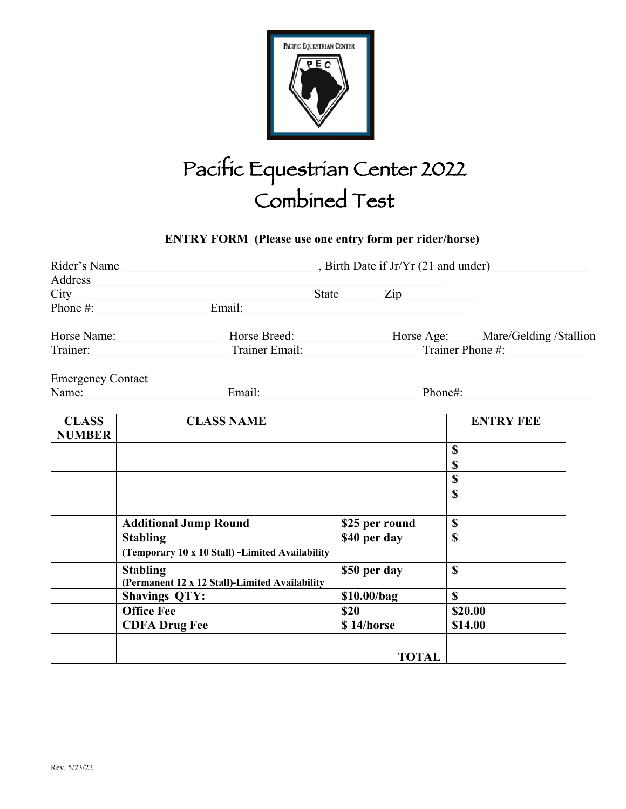

# Pacific Equestrian Center 2022 Combined Test

### **ENTRY FORM (Please use one entry form per rider/horse)**

|                               | Address                                                                                                           |                |                  |
|-------------------------------|-------------------------------------------------------------------------------------------------------------------|----------------|------------------|
|                               |                                                                                                                   | $State$ $Zip$  |                  |
|                               |                                                                                                                   |                |                  |
|                               | Horse Name: _______________________________Horse Breed: _________________Horse Age: ______ Mare/Gelding /Stallion |                |                  |
|                               | Trainer: Trainer Email: Trainer Email: Trainer Phone #:                                                           |                |                  |
| <b>Emergency Contact</b>      |                                                                                                                   |                |                  |
|                               | Name: Email: Email: Phone#:                                                                                       |                |                  |
| <b>CLASS</b><br><b>NUMBER</b> | <b>CLASS NAME</b>                                                                                                 |                | <b>ENTRY FEE</b> |
|                               |                                                                                                                   |                | S                |
|                               |                                                                                                                   |                |                  |
|                               |                                                                                                                   |                | $\mathbf{\$}$    |
|                               |                                                                                                                   |                | $\mathbf S$      |
|                               | <b>Additional Jump Round</b>                                                                                      | \$25 per round | $\mathbf S$      |
|                               | <b>Stabling</b><br>(Temporary 10 x 10 Stall) -Limited Availability                                                | \$40 per day   | \$               |
|                               | <b>Stabling</b><br>(Permanent 12 x 12 Stall)-Limited Availability                                                 | \$50 per day   | \$               |
|                               | <b>Shavings QTY:</b>                                                                                              | \$10.00/bag    | $\mathbf S$      |
|                               | <b>Office Fee</b>                                                                                                 | \$20           | \$20.00          |
|                               | <b>CDFA Drug Fee</b>                                                                                              | \$14/horse     | \$14.00          |
|                               |                                                                                                                   | <b>TOTAL</b>   |                  |